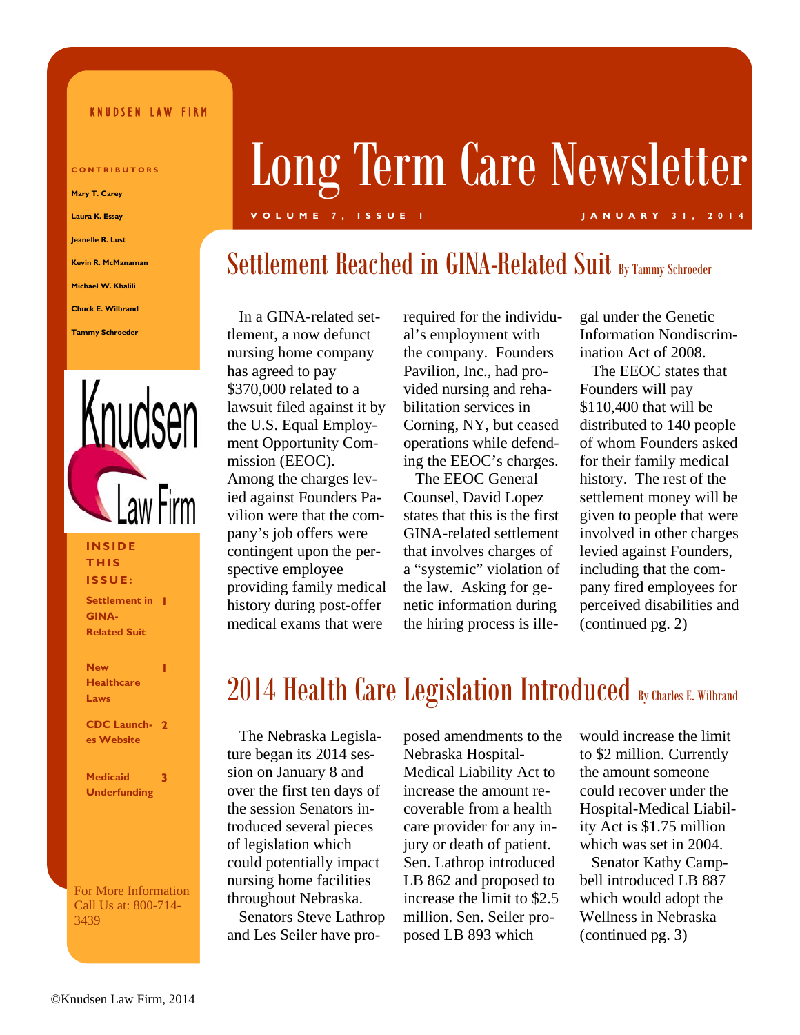#### KNUDSEN LAW FIRM

**CONTRIBUTORS Mary T. Carey Laura K. Essay Jeanelle R. Lust Kevin R. McManaman Michael W. Khalili Chuck E. Wilbrand** 

**Tammy Schroeder** 



#### **INSIDE THIS ISSUE:**

**Settlement in 1 GINA-Related Suit** 

**New Healthcare Laws** 

**1** 

**CDC Launch-2 es Website** 

**Medicaid Underfunding 3** 

For More Information Call Us at: 800-714- 3439

# Long Term Care Newsletter

#### **VOLUME 7, ISSUE 1 JANUARY 31, 2014**

## Settlement Reached in GINA-Related Suit By Tammy Schroeder

 In a GINA-related settlement, a now defunct nursing home company has agreed to pay \$370,000 related to a lawsuit filed against it by the U.S. Equal Employment Opportunity Commission (EEOC). Among the charges levied against Founders Pavilion were that the company's job offers were contingent upon the perspective employee providing family medical history during post-offer medical exams that were

required for the individual's employment with the company. Founders Pavilion, Inc., had provided nursing and rehabilitation services in Corning, NY, but ceased operations while defending the EEOC's charges.

 The EEOC General Counsel, David Lopez states that this is the first GINA-related settlement that involves charges of a "systemic" violation of the law. Asking for genetic information during the hiring process is illegal under the Genetic Information Nondiscrimination Act of 2008.

 The EEOC states that Founders will pay \$110,400 that will be distributed to 140 people of whom Founders asked for their family medical history. The rest of the settlement money will be given to people that were involved in other charges levied against Founders, including that the company fired employees for perceived disabilities and (continued pg. 2)

# 2014 Health Care Legislation Introduced By Charles E. Wilbrand

 The Nebraska Legislature began its 2014 session on January 8 and over the first ten days of the session Senators introduced several pieces of legislation which could potentially impact nursing home facilities throughout Nebraska. Senators Steve Lathrop and Les Seiler have proposed amendments to the Nebraska Hospital-Medical Liability Act to increase the amount recoverable from a health care provider for any injury or death of patient. Sen. Lathrop introduced LB 862 and proposed to increase the limit to \$2.5 million. Sen. Seiler proposed LB 893 which

would increase the limit to \$2 million. Currently the amount someone could recover under the Hospital-Medical Liability Act is \$1.75 million which was set in 2004.

 Senator Kathy Campbell introduced LB 887 which would adopt the Wellness in Nebraska (continued pg. 3)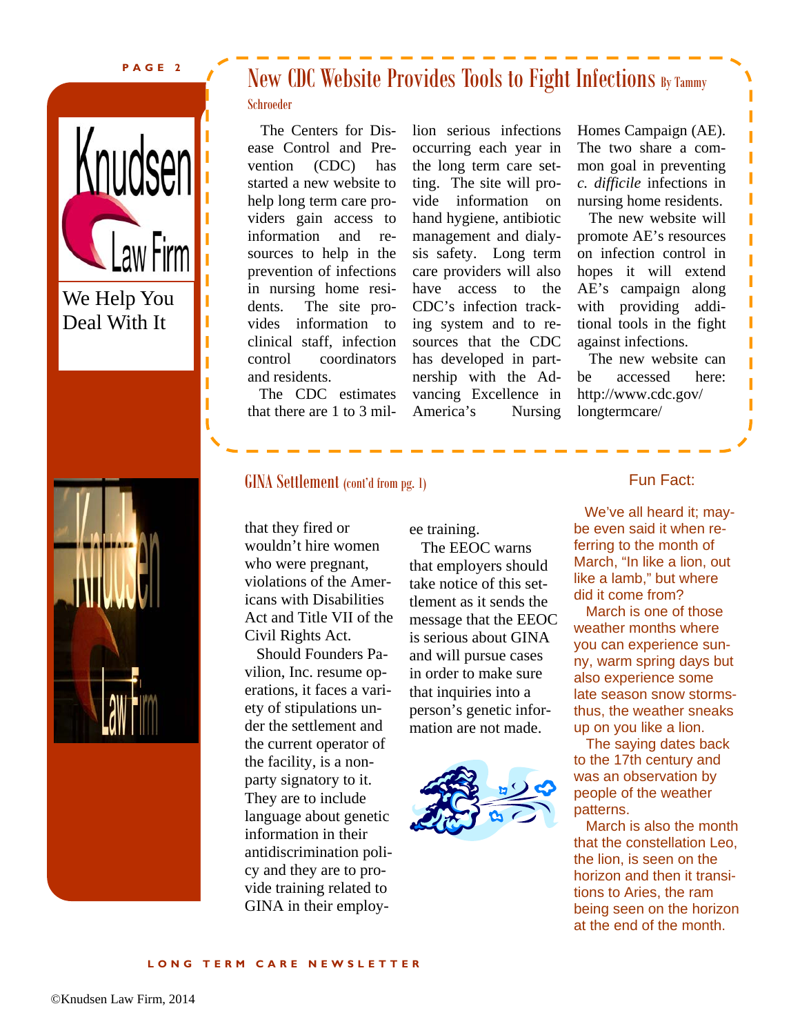#### **PAGE 2**





## New CDC Website Provides Tools to Fight Infections By Tammy

#### Schroeder

 The Centers for Disease Control and Prevention (CDC) has started a new website to help long term care providers gain access to information and resources to help in the prevention of infections in nursing home residents. The site provides information to clinical staff, infection control coordinators and residents.

 The CDC estimates that there are 1 to 3 million serious infections occurring each year in the long term care setting. The site will provide information on hand hygiene, antibiotic management and dialysis safety. Long term care providers will also have access to the CDC's infection tracking system and to resources that the CDC has developed in partnership with the Advancing Excellence in America's Nursing Homes Campaign (AE). The two share a common goal in preventing *c. difficile* infections in nursing home residents.

I I I

Ī

 The new website will promote AE's resources on infection control in hopes it will extend AE's campaign along with providing additional tools in the fight against infections.

 The new website can be accessed here: http://www.cdc.gov/ longtermcare/

#### GINA Settlement (cont'd from pg. 1)

that they fired or wouldn't hire women who were pregnant, violations of the Americans with Disabilities Act and Title VII of the Civil Rights Act.

 Should Founders Pavilion, Inc. resume operations, it faces a variety of stipulations under the settlement and the current operator of the facility, is a nonparty signatory to it. They are to include language about genetic information in their antidiscrimination policy and they are to provide training related to GINA in their employee training.

 The EEOC warns that employers should take notice of this settlement as it sends the message that the EEOC is serious about GINA and will pursue cases in order to make sure that inquiries into a person's genetic information are not made.



#### Fun Fact:

 We've all heard it; maybe even said it when referring to the month of March, "In like a lion, out like a lamb," but where did it come from?

 March is one of those weather months where you can experience sunny, warm spring days but also experience some late season snow stormsthus, the weather sneaks up on you like a lion.

 The saying dates back to the 17th century and was an observation by people of the weather patterns.

 March is also the month that the constellation Leo, the lion, is seen on the horizon and then it transitions to Aries, the ram being seen on the horizon at the end of the month.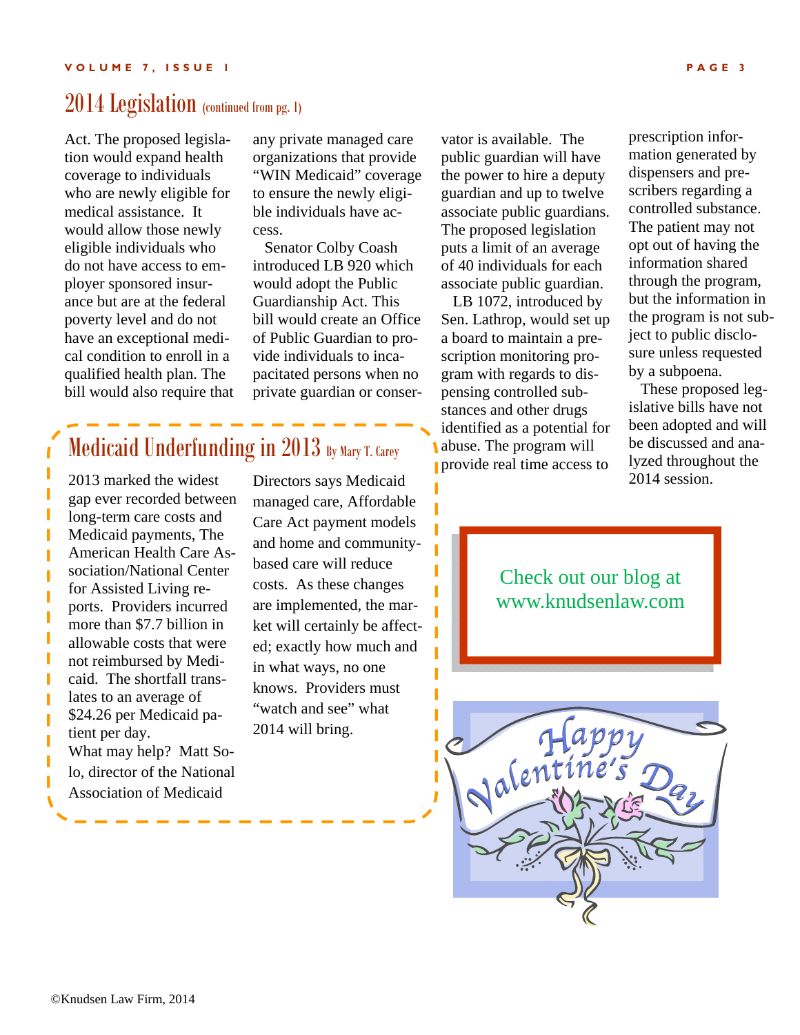### 2014 Legislation (continued from pg. 1)

Act. The proposed legislation would expand health coverage to individuals who are newly eligible for medical assistance. It would allow those newly eligible individuals who do not have access to employer sponsored insurance but are at the federal poverty level and do not have an exceptional medical condition to enroll in a qualified health plan. The bill would also require that any private managed care organizations that provide "WIN Medicaid" coverage to ensure the newly eligible individuals have access.

 Senator Colby Coash introduced LB 920 which would adopt the Public Guardianship Act. This bill would create an Office of Public Guardian to provide individuals to incapacitated persons when no private guardian or conser-

Medicaid Underfunding in 2013 By Mary T. Carey

2013 marked the widest gap ever recorded between long-term care costs and Medicaid payments, The American Health Care Association/National Center for Assisted Living reports. Providers incurred more than \$7.7 billion in allowable costs that were not reimbursed by Medicaid. The shortfall translates to an average of \$24.26 per Medicaid patient per day. What may help? Matt Solo, director of the National Association of Medicaid

Directors says Medicaid managed care, Affordable Care Act payment models and home and communitybased care will reduce costs. As these changes are implemented, the market will certainly be affected; exactly how much and in what ways, no one knows. Providers must "watch and see" what 2014 will bring.

vator is available. The public guardian will have the power to hire a deputy guardian and up to twelve associate public guardians. The proposed legislation puts a limit of an average of 40 individuals for each associate public guardian.

 LB 1072, introduced by Sen. Lathrop, would set up a board to maintain a prescription monitoring program with regards to dispensing controlled substances and other drugs identified as a potential for abuse. The program will provide real time access to

prescription information generated by dispensers and prescribers regarding a controlled substance. The patient may not opt out of having the information shared through the program, but the information in the program is not subject to public disclosure unless requested by a subpoena.

 These proposed legislative bills have not been adopted and will be discussed and analyzed throughout the 2014 session.